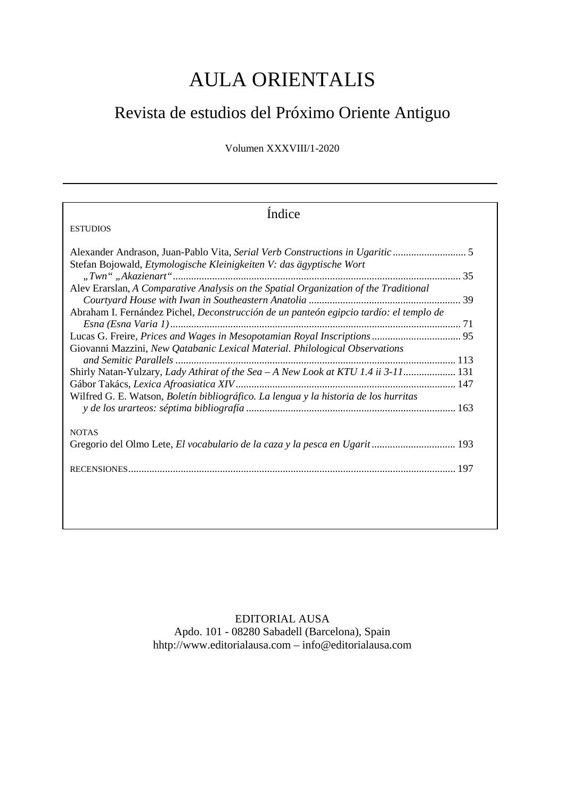## AULA ORIENTALIS

## Revista de estudios del Próximo Oriente Antiguo

Volumen XXXVIII/1-2020

| Índice                                                                                                                                                                                                                                                                                                                                                                                                                                                                                                            |
|-------------------------------------------------------------------------------------------------------------------------------------------------------------------------------------------------------------------------------------------------------------------------------------------------------------------------------------------------------------------------------------------------------------------------------------------------------------------------------------------------------------------|
| <b>ESTUDIOS</b>                                                                                                                                                                                                                                                                                                                                                                                                                                                                                                   |
| Stefan Bojowald, Etymologische Kleinigkeiten V: das ägyptische Wort<br>Alev Erarslan, A Comparative Analysis on the Spatial Organization of the Traditional<br>Abraham I. Fernández Pichel, Deconstrucción de un panteón egipcio tardío: el templo de<br>Giovanni Mazzini, New Qatabanic Lexical Material. Philological Observations<br>Shirly Natan-Yulzary, Lady Athirat of the Sea - A New Look at KTU 1.4 ii 3-11 131<br>Wilfred G. E. Watson, Boletín bibliográfico. La lengua y la historia de los hurritas |
| <b>NOTAS</b><br>Gregorio del Olmo Lete, El vocabulario de la caza y la pesca en Ugarit 193                                                                                                                                                                                                                                                                                                                                                                                                                        |

EDITORIAL AUSA Apdo. 101 - 08280 Sabadell (Barcelona), Spain hhtp:/[/www.editorialausa.com](http://www.editorialsusa.com/) – [info@editorialausa.com](mailto:info@editorialausa.com)